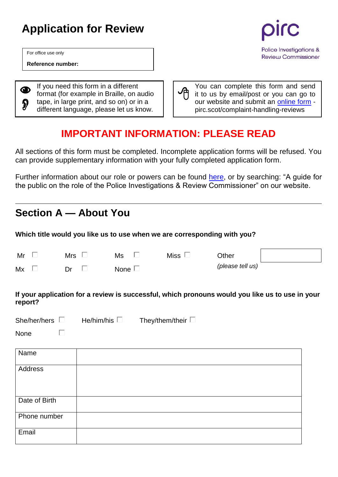# **Application for Review**

For office use only

**Reference number:**

◉  $\boldsymbol{\mathcal{D}}$ 

If you need this form in a different format (for example in Braille, on audio tape, in large print, and so on) or in a different language, please let us know.

Police Investigations & **Review Commissioner** 

You can complete this form and send it to us by email/post or you can go to our website and submit an [online form](https://pirc.scot/complaint-handling-reviews/applying-for-a-complaint-handling-review/) pirc.scot/complaint-handling-reviews

## **IMPORTANT INFORMATION: PLEASE READ**

All sections of this form must be completed. Incomplete application forms will be refused. You can provide supplementary information with your fully completed application form.

Further information about our role or powers can be found [here,](https://www.scotland.police.uk/spa-media/5trlcalt/pirc-guide-for-the-public.pdf?view=Standard) or by searching: "A guide for the public on the role of the Police Investigations & Review Commissioner" on our website.

## **Section A — About You**

**Which title would you like us to use when we are corresponding with you?**

| Mr | Mrs<br>$\overline{\phantom{0}}$ | Ms          | <b>Miss</b> | Other            |  |
|----|---------------------------------|-------------|-------------|------------------|--|
| Mx | Dr                              | None $\Box$ |             | (please tell us) |  |

**If your application for a review is successful, which pronouns would you like us to use in your report?**

| She/her/hers | They/them/their [<br>He/him/his $\square$ |
|--------------|-------------------------------------------|
|--------------|-------------------------------------------|

None

 $\Box$ 

| Name          |  |
|---------------|--|
| Address       |  |
|               |  |
| Date of Birth |  |
| Phone number  |  |
| Email         |  |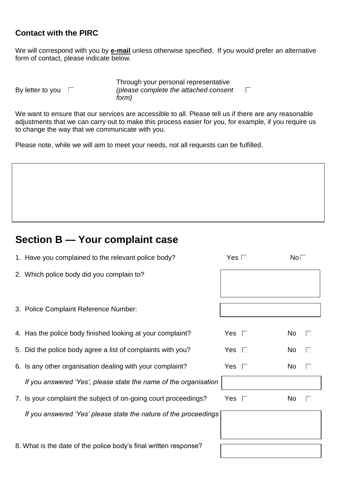### **Contact with the PIRC**

We will correspond with you by **e-mail** unless otherwise specified. If you would prefer an alternative form of contact, please indicate below.

By letter to you  $\square$ 

Through your personal representative *(please complete the attached consent form)*

We want to ensure that our services are accessible to all. Please tell us if there are any reasonable adjustments that we can carry out to make this process easier for you, for example, if you require us to change the way that we communicate with you.

Please note, while we will aim to meet your needs, not all requests can be fulfilled.

## **Section B — Your complaint case**

| 1. Have you complained to the relevant police body?              | Yes $\Box$    | No <sub>1</sub> |   |  |
|------------------------------------------------------------------|---------------|-----------------|---|--|
| 2. Which police body did you complain to?                        |               |                 |   |  |
|                                                                  |               |                 |   |  |
| 3. Police Complaint Reference Number:                            |               |                 |   |  |
|                                                                  |               |                 |   |  |
| 4. Has the police body finished looking at your complaint?       | Yes $\Box$    | No              | ш |  |
| 5. Did the police body agree a list of complaints with you?      | Yes $\Box$    | No              |   |  |
| 6. Is any other organisation dealing with your complaint?        | Yes $\square$ | No.             | П |  |
| If you answered 'Yes', please state the name of the organisation |               |                 |   |  |
| 7. Is your complaint the subject of on-going court proceedings?  | Yes $\Box$    | No              |   |  |
| If you answered 'Yes' please state the nature of the proceedings |               |                 |   |  |
|                                                                  |               |                 |   |  |
| 8. What is the date of the police body's final written response? |               |                 |   |  |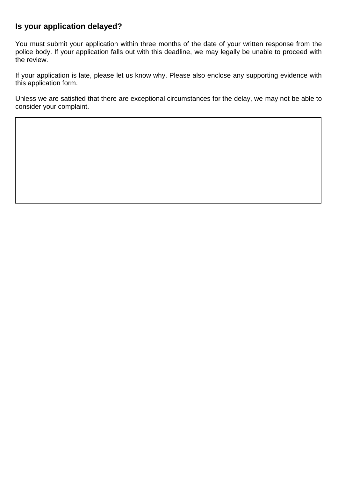### **Is your application delayed?**

You must submit your application within three months of the date of your written response from the police body. If your application falls out with this deadline, we may legally be unable to proceed with the review.

If your application is late, please let us know why. Please also enclose any supporting evidence with this application form.

Unless we are satisfied that there are exceptional circumstances for the delay, we may not be able to consider your complaint.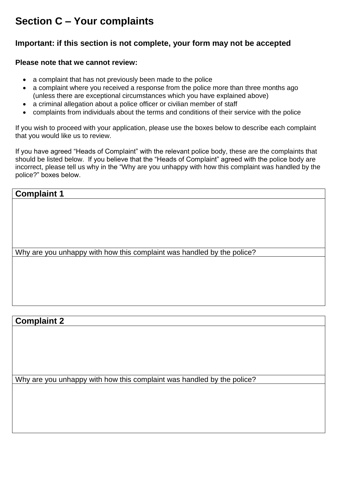## **Section C – Your complaints**

### **Important: if this section is not complete, your form may not be accepted**

#### **Please note that we cannot review:**

- a complaint that has not previously been made to the police
- a complaint where you received a response from the police more than three months ago (unless there are exceptional circumstances which you have explained above)
- a criminal allegation about a police officer or civilian member of staff
- complaints from individuals about the terms and conditions of their service with the police

If you wish to proceed with your application, please use the boxes below to describe each complaint that you would like us to review.

If you have agreed "Heads of Complaint" with the relevant police body, these are the complaints that should be listed below. If you believe that the "Heads of Complaint" agreed with the police body are incorrect, please tell us why in the "Why are you unhappy with how this complaint was handled by the police?" boxes below.

### **Complaint 1**

Why are you unhappy with how this complaint was handled by the police?

#### **Complaint 2**

Why are you unhappy with how this complaint was handled by the police?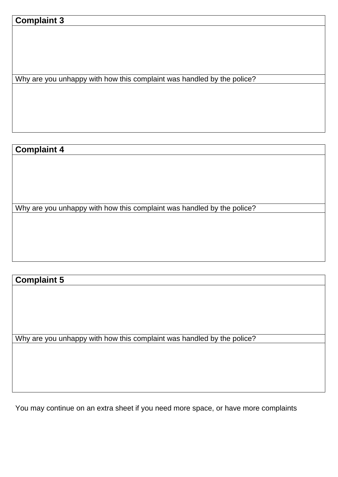### **Complaint 3**

Why are you unhappy with how this complaint was handled by the police?

### **Complaint 4**

Why are you unhappy with how this complaint was handled by the police?

### **Complaint 5**

Why are you unhappy with how this complaint was handled by the police?

You may continue on an extra sheet if you need more space, or have more complaints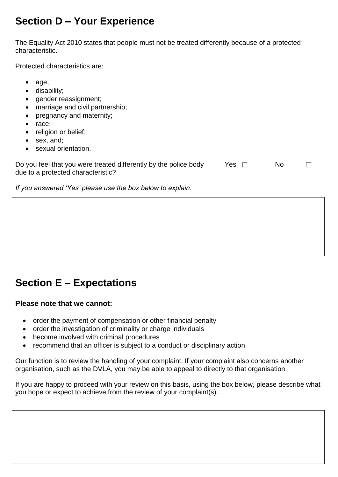## **Section D – Your Experience**

The Equality Act 2010 states that people must not be treated differently because of a protected characteristic.

Protected characteristics are:

• age; disability; • gender reassignment; • marriage and civil partnership; • pregnancy and maternity; race; • religion or belief; • sex, and; sexual orientation. Do you feel that you were treated differently by the police body Yes □ No  $\Box$ due to a protected characteristic? *If you answered 'Yes' please use the box below to explain.*

## **Section E – Expectations**

#### **Please note that we cannot:**

- order the payment of compensation or other financial penalty
- order the investigation of criminality or charge individuals
- become involved with criminal procedures
- recommend that an officer is subject to a conduct or disciplinary action

Our function is to review the handling of your complaint. If your complaint also concerns another organisation, such as the DVLA, you may be able to appeal to directly to that organisation.

If you are happy to proceed with your review on this basis, using the box below, please describe what you hope or expect to achieve from the review of your complaint(s).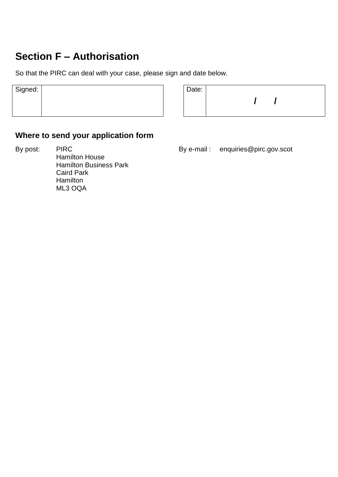## **Section F – Authorisation**

So that the PIRC can deal with your case, please sign and date below.

| $\vert$ Signed: $\vert$ |  | Date: |
|-------------------------|--|-------|
|                         |  |       |
|                         |  |       |
|                         |  |       |

| Date: |  |  |  |  |  |  |  |
|-------|--|--|--|--|--|--|--|
|       |  |  |  |  |  |  |  |
|       |  |  |  |  |  |  |  |

### **Where to send your application form**

By post: PIRC PIRC By e-mail : enquiries@pirc.gov.scot Hamilton House Hamilton Business Park Caird Park **Hamilton** ML3 OQA